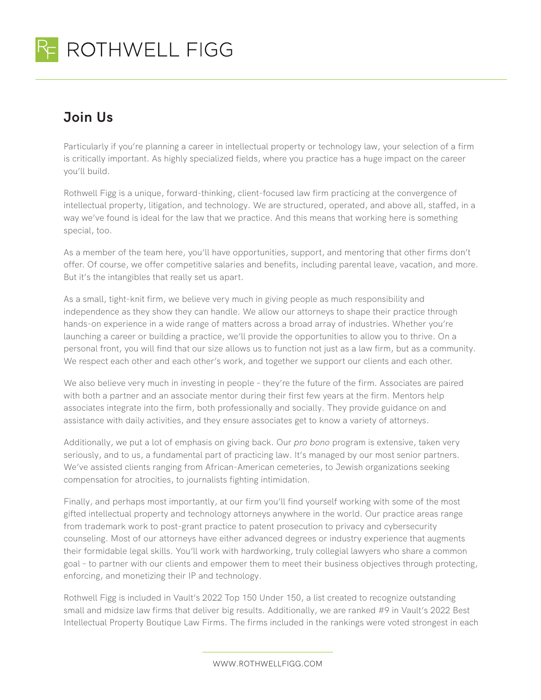

## **Join Us**

Particularly if you're planning a career in intellectual property or technology law, your selection of a firm is critically important. As highly specialized fields, where you practice has a huge impact on the career you'll build.

Rothwell Figg is a unique, forward-thinking, client-focused law firm practicing at the convergence of intellectual property, litigation, and technology. We are structured, operated, and above all, staffed, in a way we've found is ideal for the law that we practice. And this means that working here is something special, too.

As a member of the team here, you'll have opportunities, support, and mentoring that other firms don't offer. Of course, we offer competitive salaries and benefits, including parental leave, vacation, and more. But it's the intangibles that really set us apart.

As a small, tight-knit firm, we believe very much in giving people as much responsibility and independence as they show they can handle. We allow our attorneys to shape their practice through hands-on experience in a wide range of matters across a broad array of industries. Whether you're launching a career or building a practice, we'll provide the opportunities to allow you to thrive. On a personal front, you will find that our size allows us to function not just as a law firm, but as a community. We respect each other and each other's work, and together we support our clients and each other.

We also believe very much in investing in people – they're the future of the firm. Associates are paired with both a partner and an associate mentor during their first few years at the firm. Mentors help associates integrate into the firm, both professionally and socially. They provide guidance on and assistance with daily activities, and they ensure associates get to know a variety of attorneys.

Additionally, we put a lot of emphasis on giving back. Our *pro bono* program is extensive, taken very seriously, and to us, a fundamental part of practicing law. It's managed by our most senior partners. We've assisted clients ranging from African-American cemeteries, to Jewish organizations seeking compensation for atrocities, to journalists fighting intimidation.

Finally, and perhaps most importantly, at our firm you'll find yourself working with some of the most gifted intellectual property and technology attorneys anywhere in the world. Our practice areas range from trademark work to post-grant practice to patent prosecution to privacy and cybersecurity counseling. Most of our attorneys have either advanced degrees or industry experience that augments their formidable legal skills. You'll work with hardworking, truly collegial lawyers who share a common goal – to partner with our clients and empower them to meet their business objectives through protecting, enforcing, and monetizing their IP and technology.

Rothwell Figg is included in Vault's 2022 Top 150 Under 150, a list created to recognize outstanding small and midsize law firms that deliver big results. Additionally, we are ranked #9 in Vault's 2022 Best Intellectual Property Boutique Law Firms. The firms included in the rankings were voted strongest in each

WWW.ROTHWELLFIGG.COM